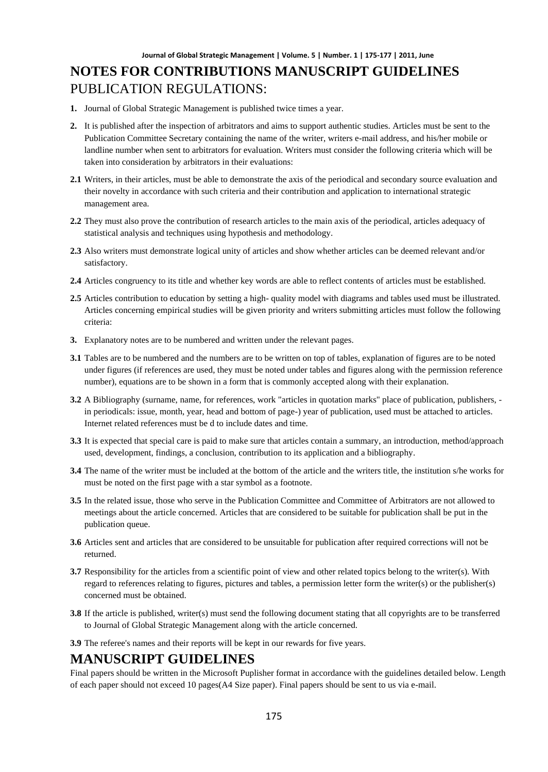# **NOTES FOR CONTRIBUTIONS MANUSCRIPT GUIDELINES** PUBLICATION REGULATIONS:

- **1.** Journal of Global Strategic Management is published twice times a year.
- **2.** It is published after the inspection of arbitrators and aims to support authentic studies. Articles must be sent to the Publication Committee Secretary containing the name of the writer, writers e-mail address, and his/her mobile or landline number when sent to arbitrators for evaluation. Writers must consider the following criteria which will be taken into consideration by arbitrators in their evaluations:
- **2.1** Writers, in their articles, must be able to demonstrate the axis of the periodical and secondary source evaluation and their novelty in accordance with such criteria and their contribution and application to international strategic management area.
- **2.2** They must also prove the contribution of research articles to the main axis of the periodical, articles adequacy of statistical analysis and techniques using hypothesis and methodology.
- **2.3** Also writers must demonstrate logical unity of articles and show whether articles can be deemed relevant and/or satisfactory.
- **2.4** Articles congruency to its title and whether key words are able to reflect contents of articles must be established.
- **2.5** Articles contribution to education by setting a high- quality model with diagrams and tables used must be illustrated. Articles concerning empirical studies will be given priority and writers submitting articles must follow the following criteria:
- **3.** Explanatory notes are to be numbered and written under the relevant pages.
- **3.1** Tables are to be numbered and the numbers are to be written on top of tables, explanation of figures are to be noted under figures (if references are used, they must be noted under tables and figures along with the permission reference number), equations are to be shown in a form that is commonly accepted along with their explanation.
- **3.2** A Bibliography (surname, name, for references, work "articles in quotation marks" place of publication, publishers, in periodicals: issue, month, year, head and bottom of page-) year of publication, used must be attached to articles. Internet related references must be d to include dates and time.
- **3.3** It is expected that special care is paid to make sure that articles contain a summary, an introduction, method/approach used, development, findings, a conclusion, contribution to its application and a bibliography.
- **3.4** The name of the writer must be included at the bottom of the article and the writers title, the institution s/he works for must be noted on the first page with a star symbol as a footnote.
- **3.5** In the related issue, those who serve in the Publication Committee and Committee of Arbitrators are not allowed to meetings about the article concerned. Articles that are considered to be suitable for publication shall be put in the publication queue.
- **3.6** Articles sent and articles that are considered to be unsuitable for publication after required corrections will not be returned.
- **3.7** Responsibility for the articles from a scientific point of view and other related topics belong to the writer(s). With regard to references relating to figures, pictures and tables, a permission letter form the writer(s) or the publisher(s) concerned must be obtained.
- **3.8** If the article is published, writer(s) must send the following document stating that all copyrights are to be transferred to Journal of Global Strategic Management along with the article concerned.
- **3.9** The referee's names and their reports will be kept in our rewards for five years.

#### **MANUSCRIPT GUIDELINES**

Final papers should be written in the Microsoft Puplisher format in accordance with the guidelines detailed below. Length of each paper should not exceed 10 pages(A4 Size paper). Final papers should be sent to us via e-mail.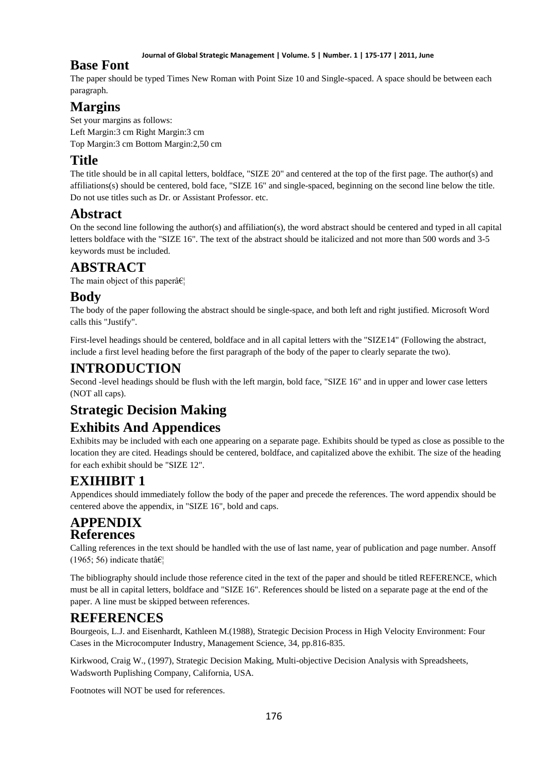#### **Journal of Global Strategic Management | Volume. 5 | Number. 1 | 175-177 | 2011, June**

### **Base Font**

The paper should be typed Times New Roman with Point Size 10 and Single-spaced. A space should be between each paragraph.

## **Margins**

Set your margins as follows: Left Margin:3 cm Right Margin:3 cm Top Margin:3 cm Bottom Margin:2,50 cm

## **Title**

The title should be in all capital letters, boldface, "SIZE 20" and centered at the top of the first page. The author(s) and affiliations(s) should be centered, bold face, "SIZE 16" and single-spaced, beginning on the second line below the title. Do not use titles such as Dr. or Assistant Professor. etc.

## **Abstract**

On the second line following the author(s) and affiliation(s), the word abstract should be centered and typed in all capital letters boldface with the "SIZE 16". The text of the abstract should be italicized and not more than 500 words and 3-5 keywords must be included.

## **ABSTRACT**

The main object of this paper $\hat{a} \in \mathcal{C}_1$ 

## **Body**

The body of the paper following the abstract should be single-space, and both left and right justified. Microsoft Word calls this "Justify".

First-level headings should be centered, boldface and in all capital letters with the "SIZE14" (Following the abstract, include a first level heading before the first paragraph of the body of the paper to clearly separate the two).

## **INTRODUCTION**

Second -level headings should be flush with the left margin, bold face, "SIZE 16" and in upper and lower case letters (NOT all caps).

# **Strategic Decision Making**

## **Exhibits And Appendices**

Exhibits may be included with each one appearing on a separate page. Exhibits should be typed as close as possible to the location they are cited. Headings should be centered, boldface, and capitalized above the exhibit. The size of the heading for each exhibit should be "SIZE 12".

# **EXIHIBIT 1**

Appendices should immediately follow the body of the paper and precede the references. The word appendix should be centered above the appendix, in "SIZE 16", bold and caps.

### **APPENDIX References**

Calling references in the text should be handled with the use of last name, year of publication and page number. Ansoff (1965; 56) indicate that  $\hat{\mathbf{a}} \in \mathbb{R}^n$ 

The bibliography should include those reference cited in the text of the paper and should be titled REFERENCE, which must be all in capital letters, boldface and "SIZE 16". References should be listed on a separate page at the end of the paper. A line must be skipped between references.

## **REFERENCES**

Bourgeois, L.J. and Eisenhardt, Kathleen M.(1988), Strategic Decision Process in High Velocity Environment: Four Cases in the Microcomputer Industry, Management Science, 34, pp.816-835.

Kirkwood, Craig W., (1997), Strategic Decision Making, Multi-objective Decision Analysis with Spreadsheets, Wadsworth Puplishing Company, California, USA.

Footnotes will NOT be used for references.